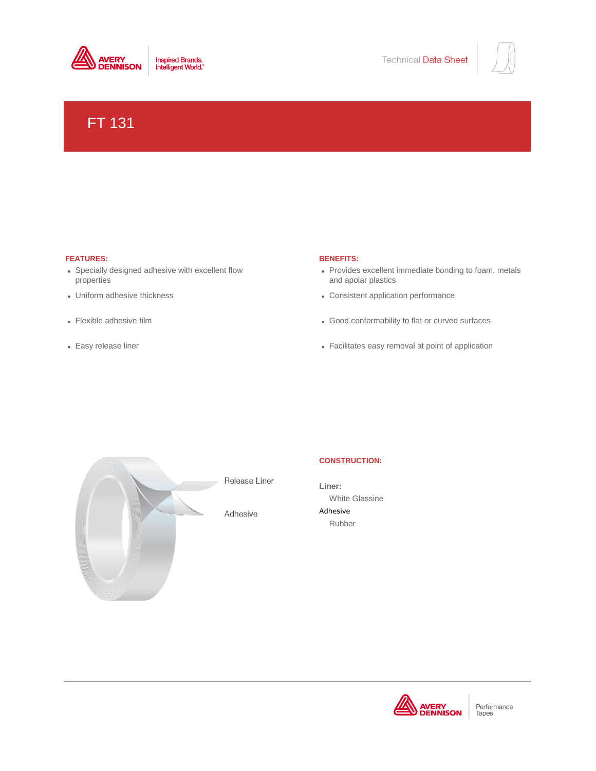



# FT 131

# **FEATURES: BENEFITS:**

- Specially designed adhesive with excellent flow properties
- Uniform adhesive thickness
- Flexible adhesive film
- Easy release liner

- Provides excellent immediate bonding to foam, metals and apolar plastics
- $\bullet$  Consistent application performance
- Good conformability to flat or curved surfaces
- Facilitates easy removal at point of application



Adhesive

# **CONSTRUCTION:**

**Liner:** White Glassine Adhesive Rubber



Performance Tapes